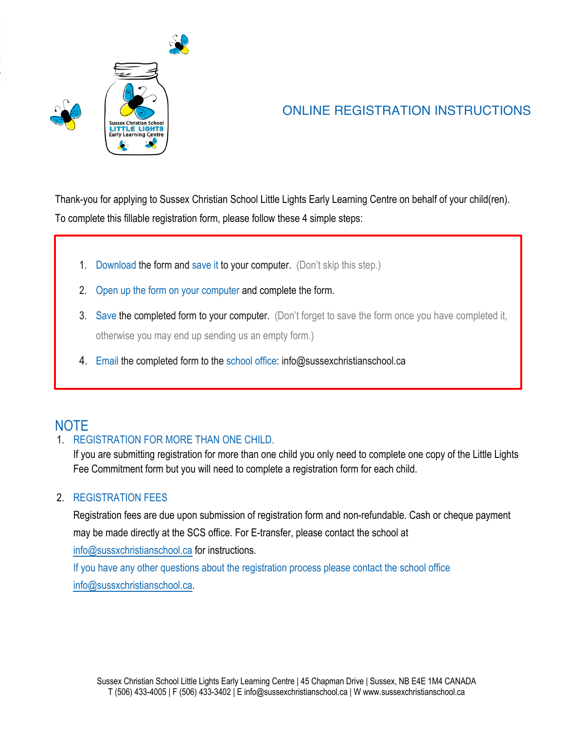

# ONLINE REGISTRATION INSTRUCTIONS

Thank-you for applying to Sussex Christian School Little Lights Early Learning Centre on behalf of your child(ren). To complete this fillable registration form, please follow these 4 simple steps:

- 1. Download the form and save it to your computer. (Don't skip this step.)
- 2. Open up the form on your computer and complete the form.
- 3. Save the completed form to your computer. (Don't forget to save the form once you have completed it, otherwise you may end up sending us an empty form.)
- 4. Email the completed form to the school office: info@sussexchristianschool.ca

# NOTE

# 1 REGISTRATION FOR MORE THAN ONE CHILD.

If you are submitting registration for more than one child you only need to complete one copy of the Little Lights Fee Commitment form but you will need to complete a registration form for each child.

## 2. REGISTRATION FEES

Registration fees are due upon submission of registration form and non-refundable. Cash or cheque payment may be made directly at the SCS office. For E-transfer, please contact the school at

info@sussxchristianschool.ca for instructions.

If you have any other questions about the registration process please contact the school office info@sussxchristianschool.ca.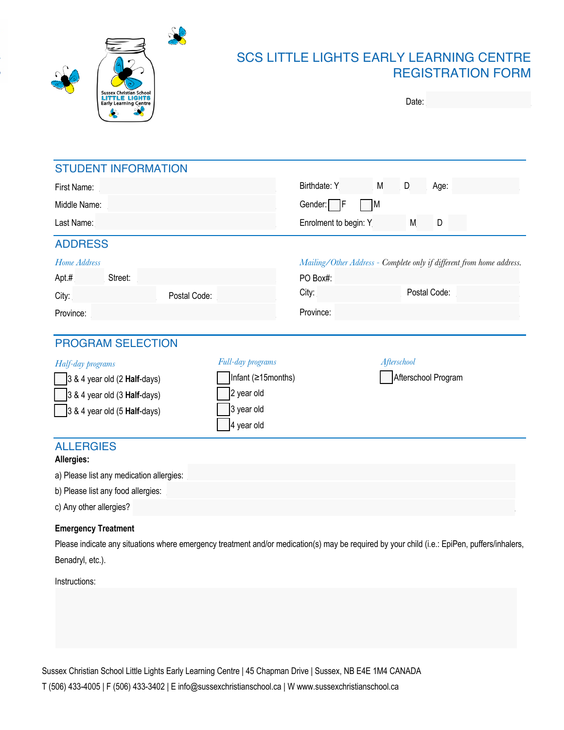



# SCS LITTLE LIGHTS EARLY LEARNING CENTRE REGISTRATION FORM

| Date: |  |
|-------|--|
|       |  |

| <b>STUDENT INFORMATION</b>                                                                                                                   |              |                    |                       |             |   |                                                                       |
|----------------------------------------------------------------------------------------------------------------------------------------------|--------------|--------------------|-----------------------|-------------|---|-----------------------------------------------------------------------|
| First Name:                                                                                                                                  |              |                    | Birthdate: Y          | M           | D | Age:                                                                  |
| Middle Name:                                                                                                                                 |              |                    | Gender: F             | M           |   |                                                                       |
| Last Name:                                                                                                                                   |              |                    | Enrolment to begin: Y |             | M | D                                                                     |
| <b>ADDRESS</b>                                                                                                                               |              |                    |                       |             |   |                                                                       |
| Home Address                                                                                                                                 |              |                    |                       |             |   | Mailing/Other Address - Complete only if different from home address. |
| Street:<br>Apt.#                                                                                                                             |              |                    | PO Box#:              |             |   |                                                                       |
| City:                                                                                                                                        | Postal Code: |                    | City:                 |             |   | Postal Code:                                                          |
| Province:                                                                                                                                    |              |                    | Province:             |             |   |                                                                       |
|                                                                                                                                              |              |                    |                       |             |   |                                                                       |
| <b>PROGRAM SELECTION</b>                                                                                                                     |              |                    |                       |             |   |                                                                       |
| Half-day programs                                                                                                                            |              | Full-day programs  |                       | Afterschool |   |                                                                       |
| 3 & 4 year old (2 Half-days)                                                                                                                 |              | Infant (≥15months) |                       |             |   | Afterschool Program                                                   |
| 3 & 4 year old (3 Half-days)                                                                                                                 |              | 2 year old         |                       |             |   |                                                                       |
| $3 & 4$ year old (5 Half-days)                                                                                                               |              | 3 year old         |                       |             |   |                                                                       |
|                                                                                                                                              |              | 4 year old         |                       |             |   |                                                                       |
| <b>ALLERGIES</b><br>Allergies:                                                                                                               |              |                    |                       |             |   |                                                                       |
| a) Please list any medication allergies:                                                                                                     |              |                    |                       |             |   |                                                                       |
| b) Please list any food allergies:                                                                                                           |              |                    |                       |             |   |                                                                       |
| c) Any other allergies?                                                                                                                      |              |                    |                       |             |   |                                                                       |
| <b>Emergency Treatment</b>                                                                                                                   |              |                    |                       |             |   |                                                                       |
| Please indicate any situations where emergency treatment and/or medication(s) may be required by your child (i.e.: EpiPen, puffers/inhalers, |              |                    |                       |             |   |                                                                       |

Benadryl, etc.).

Instructions:

Sussex Christian School Little Lights Early Learning Centre | 45 Chapman Drive | Sussex, NB E4E 1M4 CANADA T (506) 433-4005 | F (506) 433-3402 | E info@sussexchristianschool.ca | W www.sussexchristianschool.ca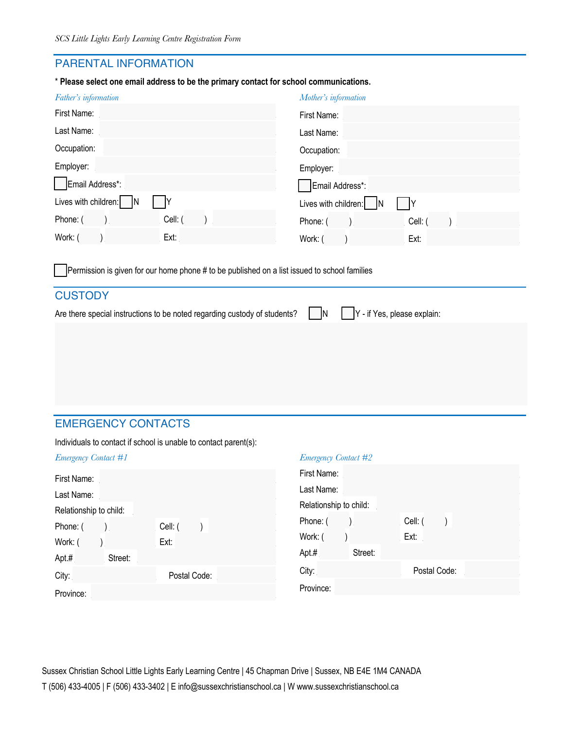## PARENTAL INFORMATION

\* **Please select one email address to be the primary contact for school communications.**

| Father's information   | Mother's information   |
|------------------------|------------------------|
| First Name:            | First Name:            |
| Last Name:             | Last Name:             |
| Occupation:            | Occupation:            |
| Employer:              | Employer:              |
| Email Address*:        | Email Address*:        |
| Lives with children: N | Lives with children: N |
| Cell: (<br>Phone: (    | Cell: (<br>Phone: (    |
| Work: (<br>Ext:        | Work: (<br>Ext:        |

Permission is given for our home phone # to be published on a list issued to school families

# **CUSTODY** Are there special instructions to be noted regarding custody of students?  $\Box N$   $\Box Y$  - if Yes, please explain:

# EMERGENCY CONTACTS

Individuals to contact if school is unable to contact parent(s):

| <b>Emergency Contact #1</b> |              | <b>Emergency Contact #2</b> |              |
|-----------------------------|--------------|-----------------------------|--------------|
| First Name:                 |              | First Name:                 |              |
| Last Name:                  |              | Last Name:                  |              |
| Relationship to child:      |              | Relationship to child:      |              |
| Phone: (                    | Cell: (      | Phone: (                    | Cell: (      |
| Work: (                     | Ext:         | Work: (                     | Ext:         |
| Apt.#<br>Street:            |              | $Apt.$ #<br>Street:         |              |
| City:                       | Postal Code: | City:                       | Postal Code: |
| Province:                   |              | Province:                   |              |
|                             |              |                             |              |

Sussex Christian School Little Lights Early Learning Centre | 45 Chapman Drive | Sussex, NB E4E 1M4 CANADA T (506) 433-4005 | F (506) 433-3402 | E info@sussexchristianschool.ca | W www.sussexchristianschool.ca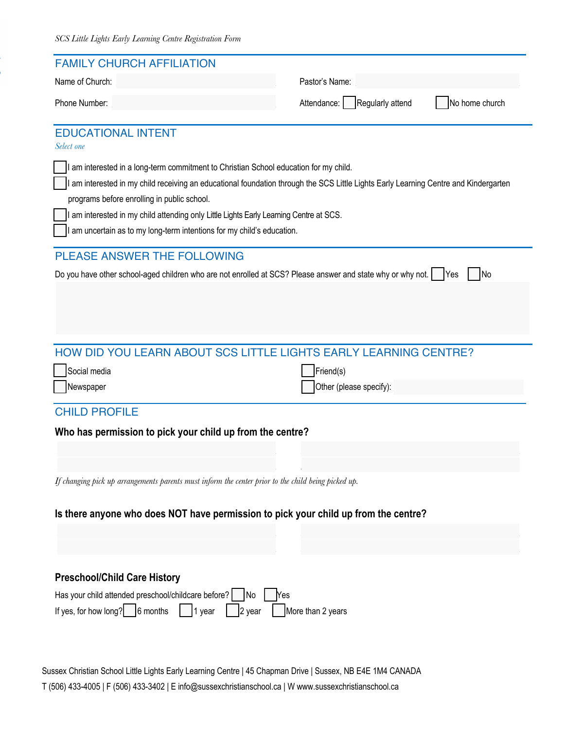| <b>FAMILY CHURCH AFFILIATION</b>                                                                                                                                                  |                                 |                |
|-----------------------------------------------------------------------------------------------------------------------------------------------------------------------------------|---------------------------------|----------------|
| Name of Church:                                                                                                                                                                   | Pastor's Name:                  |                |
| Phone Number:                                                                                                                                                                     | Regularly attend<br>Attendance: | No home church |
| <b>EDUCATIONAL INTENT</b><br>Select one                                                                                                                                           |                                 |                |
| I am interested in a long-term commitment to Christian School education for my child.                                                                                             |                                 |                |
| am interested in my child receiving an educational foundation through the SCS Little Lights Early Learning Centre and Kindergarten<br>programs before enrolling in public school. |                                 |                |
| I am interested in my child attending only Little Lights Early Learning Centre at SCS.                                                                                            |                                 |                |
| am uncertain as to my long-term intentions for my child's education.                                                                                                              |                                 |                |
| <b>PLEASE ANSWER THE FOLLOWING</b>                                                                                                                                                |                                 |                |
| Do you have other school-aged children who are not enrolled at SCS? Please answer and state why or why not.   Yes                                                                 |                                 | <b>No</b>      |
|                                                                                                                                                                                   |                                 |                |
|                                                                                                                                                                                   |                                 |                |
|                                                                                                                                                                                   |                                 |                |
| HOW DID YOU LEARN ABOUT SCS LITTLE LIGHTS EARLY LEARNING CENTRE?                                                                                                                  |                                 |                |
| Social media                                                                                                                                                                      | Friend(s)                       |                |
| Newspaper                                                                                                                                                                         | Other (please specify):         |                |
| <b>CHILD PROFILE</b>                                                                                                                                                              |                                 |                |
| Who has permission to pick your child up from the centre?                                                                                                                         |                                 |                |
|                                                                                                                                                                                   |                                 |                |
|                                                                                                                                                                                   |                                 |                |
| If changing pick up arrangements parents must inform the center prior to the child being picked up.                                                                               |                                 |                |
| Is there anyone who does NOT have permission to pick your child up from the centre?                                                                                               |                                 |                |
|                                                                                                                                                                                   |                                 |                |
|                                                                                                                                                                                   |                                 |                |
|                                                                                                                                                                                   |                                 |                |
|                                                                                                                                                                                   |                                 |                |
| <b>Preschool/Child Care History</b>                                                                                                                                               |                                 |                |
| Has your child attended preschool/childcare before?   No                                                                                                                          | <b>Nes</b>                      |                |
| If yes, for how long? $\begin{bmatrix} 6 \text{ months} \end{bmatrix}$<br>$\vert$   1 year<br>$\vert$ 2 year                                                                      | More than 2 years               |                |
|                                                                                                                                                                                   |                                 |                |

T (506) 433-4005 | F (506) 433-3402 | E info@sussexchristianschool.ca | W www.sussexchristianschool.ca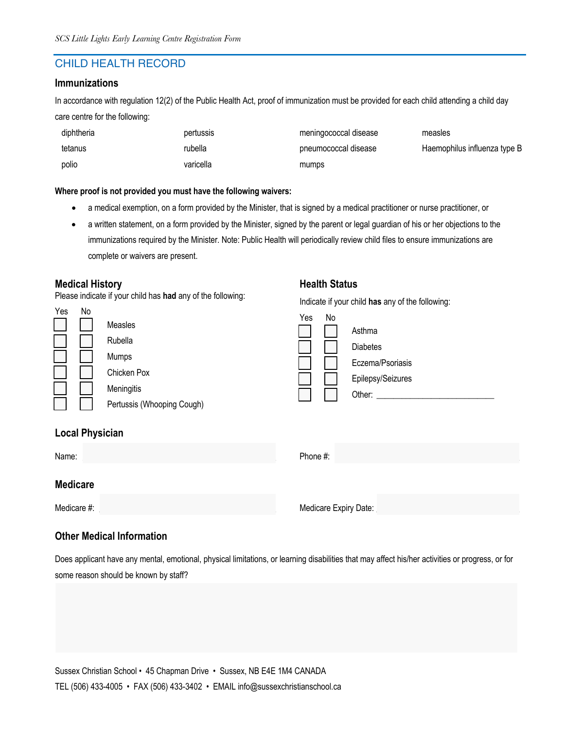## CHILD HEALTH RECORD

#### **Immunizations**

In accordance with regulation 12(2) of the Public Health Act, proof of immunization must be provided for each child attending a child day care centre for the following:

| diphtheria | pertussis | meningococcal disease | measles                      |
|------------|-----------|-----------------------|------------------------------|
| tetanus    | rubella   | pneumococcal disease  | Haemophilus influenza type B |
| polio      | varicella | mumps                 |                              |

#### **Where proof is not provided you must have the following waivers:**

- a medical exemption, on a form provided by the Minister, that is signed by a medical practitioner or nurse practitioner, or
- a written statement, on a form provided by the Minister, signed by the parent or legal guardian of his or her objections to the immunizations required by the Minister. Note: Public Health will periodically review child files to ensure immunizations are complete or waivers are present.

#### **Medical History**

 $\ddot{\mathbf{y}}$ 

Please indicate if your child has **had** any of the following:

| Yes | N٥ |                            |
|-----|----|----------------------------|
|     |    | Measles                    |
|     |    | Rubella                    |
|     |    | Mumps                      |
|     |    | Chicken Pox                |
|     |    | Meningitis                 |
|     |    | Pertussis (Whooping Cough) |
|     |    |                            |

#### **Health Status**

Indicate if your child **has** any of the following:

| Yes | No |                   |
|-----|----|-------------------|
|     |    | Asthma            |
|     |    | <b>Diabetes</b>   |
|     |    | Eczema/Psoriasis  |
|     |    | Epilepsy/Seizures |
|     |    | Other:            |
|     |    |                   |

#### **Local Physician**

| Name:           | Phone #:              |
|-----------------|-----------------------|
| <b>Medicare</b> |                       |
| Medicare #:     | Medicare Expiry Date: |

#### **Other Medical Information**

Does applicant have any mental, emotional, physical limitations, or learning disabilities that may affect his/her activities or progress, or for some reason should be known by staff?

Sussex Christian School • 45 Chapman Drive • Sussex, NB E4E 1M4 CANADA TEL (506) 433-4005 • FAX (506) 433-3402 • EMAIL info@sussexchristianschool.ca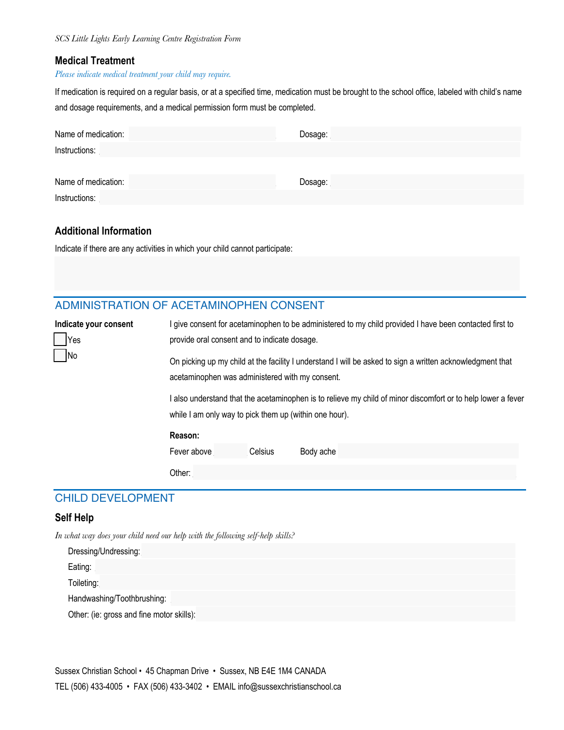#### **Medical Treatment**

#### *Please indicate medical treatment your child may require.*

If medication is required on a regular basis, or at a specified time, medication must be brought to the school office, labeled with child's name and dosage requirements, and a medical permission form must be completed.

| Name of medication: | Dosage: |
|---------------------|---------|
| Instructions:       |         |
|                     |         |
| Name of medication: | Dosage: |
| Instructions:       |         |

#### **Additional Information**

Indicate if there are any activities in which your child cannot participate:

## ADMINISTRATION OF ACETAMINOPHEN CONSENT

| Indicate your consent       |                                                                                                                                                                                                                                                                                                                                      |         | give consent for acetaminophen to be administered to my child provided I have been contacted first to |
|-----------------------------|--------------------------------------------------------------------------------------------------------------------------------------------------------------------------------------------------------------------------------------------------------------------------------------------------------------------------------------|---------|-------------------------------------------------------------------------------------------------------|
| Yes                         | provide oral consent and to indicate dosage.                                                                                                                                                                                                                                                                                         |         |                                                                                                       |
| $\overline{\phantom{a}}$ No | On picking up my child at the facility I understand I will be asked to sign a written acknowledgment that<br>acetaminophen was administered with my consent.<br>also understand that the acetaminophen is to relieve my child of minor discomfort or to help lower a fever<br>while I am only way to pick them up (within one hour). |         |                                                                                                       |
|                             |                                                                                                                                                                                                                                                                                                                                      |         |                                                                                                       |
|                             | Reason:                                                                                                                                                                                                                                                                                                                              |         |                                                                                                       |
|                             | Fever above                                                                                                                                                                                                                                                                                                                          | Celsius | Body ache                                                                                             |
|                             | Other:                                                                                                                                                                                                                                                                                                                               |         |                                                                                                       |

#### CHILD DEVELOPMENT

#### **Self Help**

*In what way does your child need our help with the following self-help skills?* 

| Dressing/Undressing:                      |
|-------------------------------------------|
| Eating:                                   |
| Toileting:                                |
| Handwashing/Toothbrushing:                |
| Other: (ie: gross and fine motor skills): |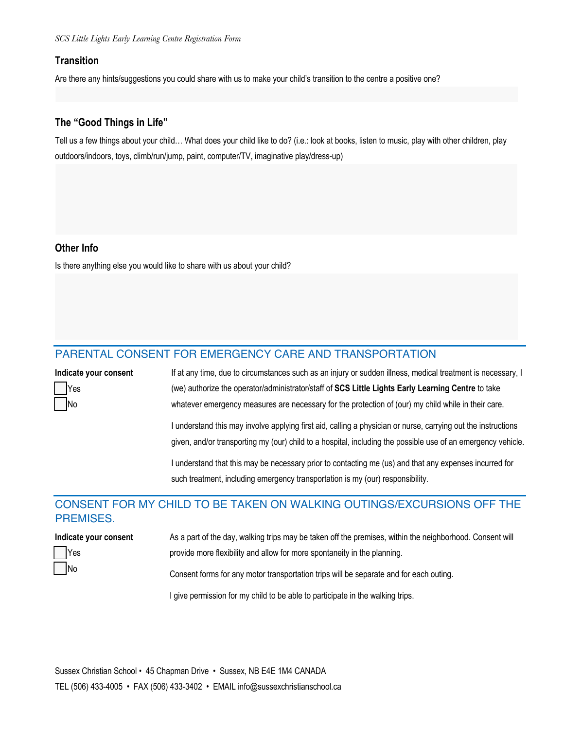#### **Transition**

Are there any hints/suggestions you could share with us to make your child's transition to the centre a positive one?

#### **The "Good Things in Life"**

Tell us a few things about your child… What does your child like to do? (i.e.: look at books, listen to music, play with other children, play outdoors/indoors, toys, climb/run/jump, paint, computer/TV, imaginative play/dress-up)

#### **Other Info**

Is there anything else you would like to share with us about your child?

### PARENTAL CONSENT FOR EMERGENCY CARE AND TRANSPORTATION

| Indicate your consent | If at any time, due to circumstances such as an injury or sudden illness, medical treatment is necessary, I   |
|-----------------------|---------------------------------------------------------------------------------------------------------------|
| ' 7 Yes               | (we) authorize the operator/administrator/staff of SCS Little Lights Early Learning Centre to take            |
| $\neg$ No             | whatever emergency measures are necessary for the protection of (our) my child while in their care.           |
|                       | I understand this may involve applying first aid, calling a physician or nurse, carrying out the instructions |
|                       | given, and/or transporting my (our) child to a hospital, including the possible use of an emergency vehicle.  |
|                       | understand that this may be necessary prior to contacting me (us) and that any expenses incurred for          |
|                       | such treatment, including emergency transportation is my (our) responsibility.                                |

## CONSENT FOR MY CHILD TO BE TAKEN ON WALKING OUTINGS/EXCURSIONS OFF THE PREMISES.

| Indicate your consent | As a part of the day, walking trips may be taken off the premises, within the neighborhood. Consent will |
|-----------------------|----------------------------------------------------------------------------------------------------------|
| Yes                   | provide more flexibility and allow for more spontaneity in the planning.                                 |
| $\sqrt{N}$            | Consent forms for any motor transportation trips will be separate and for each outing.                   |

I give permission for my child to be able to participate in the walking trips.

Sussex Christian School • 45 Chapman Drive • Sussex, NB E4E 1M4 CANADA TEL (506) 433-4005 • FAX (506) 433-3402 • EMAIL info@sussexchristianschool.ca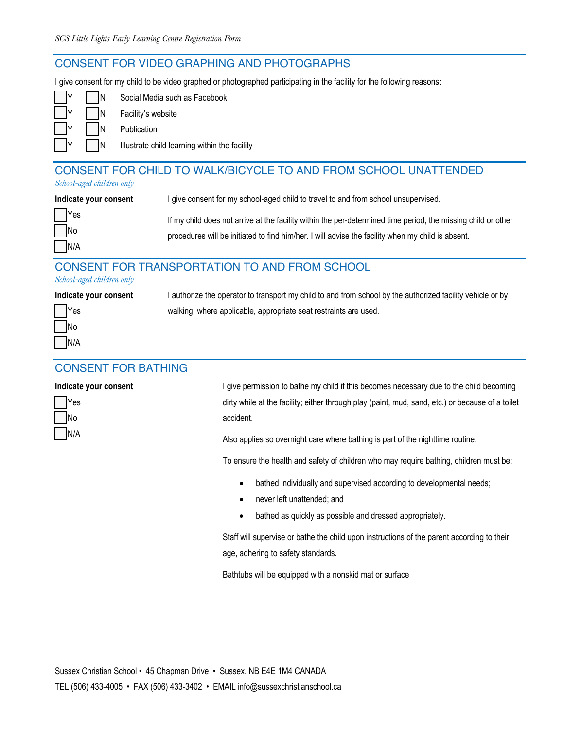#### CONSENT FOR VIDEO GRAPHING AND PHOTOGRAPHS

I give consent for my child to be video graphed or photographed participating in the facility for the following reasons:

| IN | Social Media such as Facebook                 |
|----|-----------------------------------------------|
| IN | Facility's website                            |
| IN | Publication                                   |
|    | Illustrate child learning within the facility |

#### CONSENT FOR CHILD TO WALK/BICYCLE TO AND FROM SCHOOL UNATTENDED *School-aged children only*

| Indicate your consent                   | I give consent for my school-aged child to travel to and from school unsupervised.                                                                                                                                 |
|-----------------------------------------|--------------------------------------------------------------------------------------------------------------------------------------------------------------------------------------------------------------------|
| $\Box$ Yes<br>$\Box$ No<br>$\nabla N/A$ | If my child does not arrive at the facility within the per-determined time period, the missing child or other<br>procedures will be initiated to find him/her. I will advise the facility when my child is absent. |

## CONSENT FOR TRANSPORTATION TO AND FROM SCHOOL

#### *School-aged children only*

| Indicate your consent |        | I authorize the operator to transport my child to and from school by the authorized facility vehicle or by |  |  |
|-----------------------|--------|------------------------------------------------------------------------------------------------------------|--|--|
|                       | $Y$ es | walking, where applicable, appropriate seat restraints are used.                                           |  |  |
|                       | No     |                                                                                                            |  |  |

#### CONSENT FOR BATHING

#### **Indicate your consent**

|   | Yes |
|---|-----|
| I | No  |
|   | N/A |

N/A

I give permission to bathe my child if this becomes necessary due to the child becoming dirty while at the facility; either through play (paint, mud, sand, etc.) or because of a toilet accident.

Also applies so overnight care where bathing is part of the nighttime routine.

To ensure the health and safety of children who may require bathing, children must be:

- bathed individually and supervised according to developmental needs;
- never left unattended; and
- bathed as quickly as possible and dressed appropriately.

Staff will supervise or bathe the child upon instructions of the parent according to their age, adhering to safety standards.

Bathtubs will be equipped with a nonskid mat or surface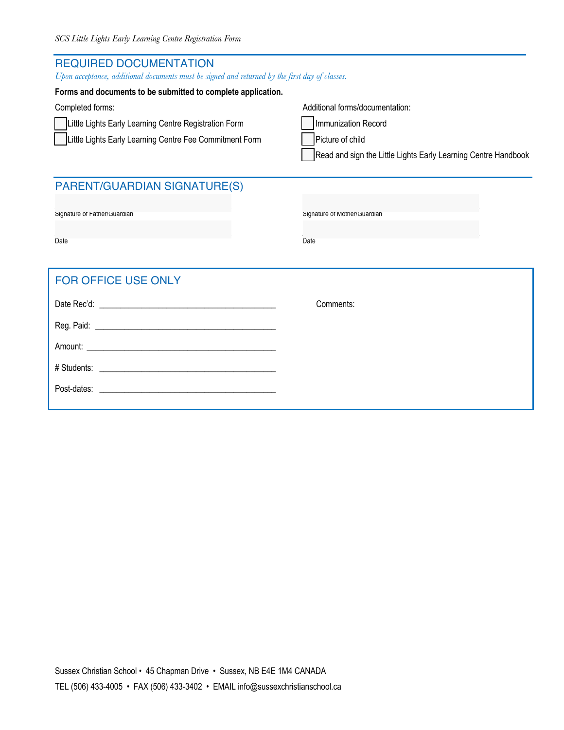| <b>REQUIRED DOCUMENTATION</b><br>Upon acceptance, additional documents must be signed and returned by the first day of classes.      |                                                                                                                                              |  |  |
|--------------------------------------------------------------------------------------------------------------------------------------|----------------------------------------------------------------------------------------------------------------------------------------------|--|--|
| Forms and documents to be submitted to complete application.                                                                         |                                                                                                                                              |  |  |
| Completed forms:<br>Little Lights Early Learning Centre Registration Form<br>Little Lights Early Learning Centre Fee Commitment Form | Additional forms/documentation:<br>Immunization Record<br>Picture of child<br>Read and sign the Little Lights Early Learning Centre Handbook |  |  |
| <b>PARENT/GUARDIAN SIGNATURE(S)</b>                                                                                                  |                                                                                                                                              |  |  |
| Signature of Father/Guardian                                                                                                         | Signature of Mother/Guardian                                                                                                                 |  |  |
| Date                                                                                                                                 | Date                                                                                                                                         |  |  |
| <b>FOR OFFICE USE ONLY</b>                                                                                                           |                                                                                                                                              |  |  |
|                                                                                                                                      | Comments:                                                                                                                                    |  |  |
|                                                                                                                                      |                                                                                                                                              |  |  |
|                                                                                                                                      |                                                                                                                                              |  |  |
|                                                                                                                                      |                                                                                                                                              |  |  |
| Post-dates:                                                                                                                          |                                                                                                                                              |  |  |